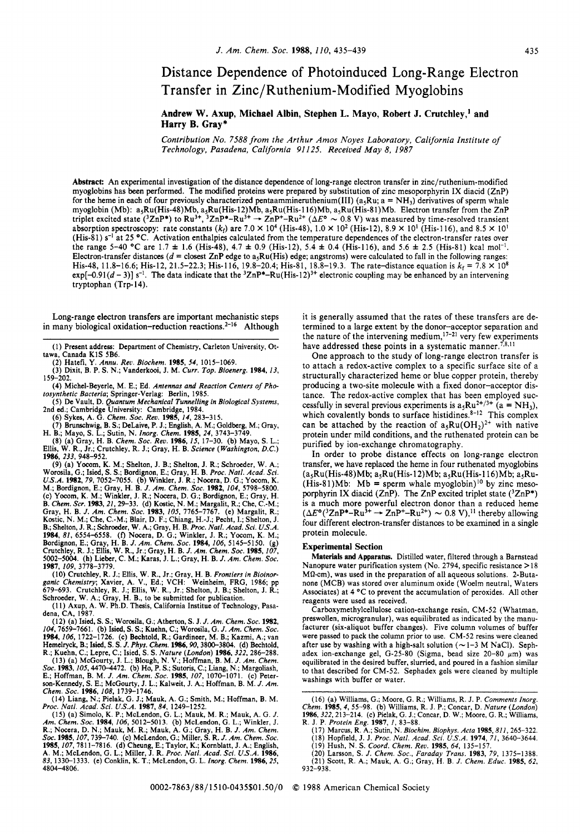## Distance Dependence of Photoinduced Long-Range Electron Transfer in Zinc/Ruthenium-Modified Myoglobins

## **Andrew W. Axup, Michael Albin, Stephen L. Mayo, Robert J. Crutchley,' and Harry B. Gray\***

*Contribution No.* **7588** *from the Arthur Amos Noyes Laboratory, California Institute* of *Technology, Pasadena, California 91 125. Received May* **8,** *I987* 

**Abstract:** An experimental investigation of the distance dependence of long-range electron transfer in zinc/ruthenium-modified myoglobins has **been** performed. The modified proteins were prepared by substitution of zinc mesoporphyrin IX diacid (ZnP) for the heme in each of four previously characterized pentaammineruthenium(III) ( $a_5Ru$ ;  $a = NH_3$ ) derivatives of sperm whale myoglobin (Mb):  $a_5Ru(His-48)Mb$ ,  $a_5Ru(His-12)Mb$ ,  $a_5Ru(His-116)Mb$ ,  $a_5Ru(His-81)Mb$ . Electron transfer from the ZnP<br>triplet excited state (<sup>3</sup>ZnP\*) to Ru<sup>3+</sup>, <sup>3</sup>ZnP\*-Ru<sup>3+</sup>  $\rightarrow$  ZnP<sup>+</sup>-Ru<sup>2+</sup> ( $\Delta E^{\circ} \sim 0.8$  V) was measured by absorption spectroscopy: rate constants  $(k_f)$  are 7.0  $\times$  10<sup>4</sup> (His-48), 1.0  $\times$  10<sup>2</sup> (His-12), 8.9  $\times$  10<sup>1</sup> (His-116), and 8.5  $\times$  10<sup>1</sup> (His-81) **s-'** at 25 **OC.** Activation enthalpies calculated from the temperature dependences of the electron-transfer rates over the range 5-40 °C are 1.7  $\pm$  1.6 (His-48), 4.7  $\pm$  0.9 (His-12), 5.4  $\pm$  0.4 (His-116), and 5.6  $\pm$  2.5 (His-81) kcal mol<sup>-1</sup>. Electron-transfer distances  $(d = \text{closest ZnP edge to } a_5Ru(His)$  edge; angstroms) were calculated to fall in the following ranges: His-48, 11.8-16.6; His-12, 21.5-22.3; His-116, 19.8-20.4; His-81, 18.8-19.3. The rate-distance equation is  $k_f = 7.8 \times 10^8$ exp $[-0.91(d-3)]$  s<sup>-1</sup>. The data indicate that the  ${}^{3}ZnP^{*}-Ru(His-12)^{3+}$  electronic coupling may be enhanced by an intervening tryptophan **(Trp-** 14).

Long-range electron transfers are important mechanistic steps in many biological oxidation-reduction reactions.<sup>2-16</sup> Although

(31 Dixit. B. P. **S.** N.; Vanderkooi. J. M. *Curr. TOO. Bioenera.* 1984. 13, 159-202.

(4) Michel-Beyerle, M. E.; Ed. *Antennas and Reaction Centers* of *Pho tosynthetic Bacteria;* Springer-Verlag: Berlin, 1985.

*(5)* De Vault, D. *Quantum Mechanical Tunnelling in Biological Systems,*  2nd ed.; Cambridge University: Cambridge, 1984.

(6) Sykes, A. G. *Chem. SOC. Rev.* 1985, 14, 283-315.

(7) Brunschwig, B. *S.;* DeLaive, P. J.; English, A. M.; Goldberg, M.; Gray,

H. B.; Mayo, S. L.; Sutin, N*. Inorg. Chem.* 1985, 24, 3743–3749.<br>(8) (a) Gray, H. B. *Chem. Soc. Rev.* 1986, 15, 17–30. (b) Mayo, S. L.;<br>Ellis, W. R., Jr.; Crutchley, R. J.; Gray, H. B. *Science (Washington, D.C.*) 1986, 233, 948-952.

(9) (a) Yocom, K. M.; Shelton, J. B.; Shelton, J. R.; Schroeder, W. A.; Worosila, G.; Isied, S. S.; Bordignon, E.; Gray, H. B. Proc. Natl. Acad. Sci. U.S.A. 1982, 79, 7052–7055. (b) Winkler, J. R.; Nocera, D. G.; Yocom, K 1984, 81, 6554–6558. (f) Nocera, D. G.; Winkler, J. R.; Yocom, K. M.; Bordignon, E.; Gray, H. B. *J. Am. Chem. Soc.* 1984, 106, 5145–5150. (g) Crutchley, R. J.; Ellis, W. R., Jr.; Gray, H. B. J. Am. Chem. Soc. 1985, 107, 5002-5004. (h) Lieber, C. M.; Karas, J. L.; Gray, H. B. J. Am. Chem. Soc. 1985, 107, 1987, 109, 3778-3779.

(10) Crutchley, R. J.; Ellis, W. R., Jr.; Gray, H. B. Frontiers in Bioinor-<br>ganic Chemistry; Xavier, A. V., Ed.; VCH: Weinheim, FRG, 1986; pp<br>679–693. Crutchley, R. J.; Ellis, W. R., Jr.; Shelton, J. B.; Shelton, J. R.;<br>Sc

(1 1) Axup, A. W. Ph.D. Thesis, California Institue of Technology, Pasa-dena, CA, 1987. (12) (a) Isied, S. **S.;** Worosila, G.; Atherton, **S.** J. *J. Am. Chem. Soc.* **1982,** 

104,7659-7661. (b) Isied, S. S.; Kuehn, C.; Worosila, G. J. *Am. Chem. SOC.*  1984, 106, 1722-1726. (c) Bechtold, R.; Gardineer, M. B.; Kazmi, A,; van Hemelryck, B.; Isied, **S. S.** *J. Phys. Chem.* 1986,90,3800-3804. (d) Bechtold,

R.; Kuehn, C.; Lepre, C.; Isied, S. S. *Nature (London)* 1986,322,286-288. (13) (a) McGourty, J. L.; Blough, N. V.; Hoffman, B. M. *J. Am. Chem. Soc.* 1983,105,4470-4472. (b) Ho, P. **S.;** Sutoris, C.; Liang, N.; Margoliash, E.; Hoffman, B. M. *J. Am. Chem. SOC.* 1985, 107, 1070-1071. (c) Peter-

E., Toluman, B. W. J. Am. Chem. Soc. 1985, 107, 1070-1071. (c) Peter-<br>son-Kennedy, S. E.; McGourty, J. L.; Kalweit, J. A.; Hoffman, B. M. J. Am.<br>Chem. Soc. 1986, 108, 1739-1746.<br>(14) Liang, N.; Pielak, G. J.; Mauk, A. G.; 4804-4806.

it is generally assumed that the rates of these transfers are determined to a large extent by the donor-acceptor separation and the nature of the intervening medium,<sup>17-21</sup> very few experiments have addressed these points in a systematic manner.<sup>7,8,11</sup>

One approach to the study of long-range electron transfer is to attach a redox-active complex to a specific surface site of a structurally characterized heme or blue copper protein, thereby producing a two-site molecule with a fixed donor-acceptor distance. The redox-active complex that has been employed successfully in several previous experiments is  $a_5Ru^{2+/3+}$  ( $a = NH_3$ ), which covalently bonds to surface histidines. $8-12$  This complex can be attached by the reaction of  $a_5Ru(OH_2)^{2+}$  with native protein under mild conditions, and the ruthenated protein can be purified by ion-exchange chromatography.

**In** order to probe distance effects on long-range electron transfer, we have replaced the heme in four ruthenated myoglobins  $(a_5Ru(His-48)Mb; a_5Ru(His-12)Mb; a_5Ru(His-116)Mb; a_5Ru-$ (His-81)Mb: Mb = sperm whale myoglobin)<sup>10</sup> by zinc mesoporphyrin IX diacid (ZnP). The ZnP excited triplet state  $(^{3}ZnP^{*})$ is a much more powerful electron donor than a reduced heme  $(\Delta E^{\circ}({}^{3}ZnP^{*}-Ru^{3+} \rightarrow ZnP^{+}-Ru^{2+}) \sim 0.8 \text{ V})$ ,<sup>11</sup> thereby allowing four different electron-transfer distances to be examined in a single protein molecule.

### **Experimental Section**

Materials **and** Apparatus. Distilled water, filtered through a Barnstead Nanopure water purification system (No. 2794, specific resistance >18  $M\Omega$ -cm), was used in the preparation of all aqueous solutions. 2-Butanone (MCB) was stored over aluminum oxide (Woelm neutral, Waters Associates) at 4 °C to prevent the accumulation of peroxides. All other reagents were used as received.

Carboxymethylcellulose cation-exchange resin, CM-52 (Whatman, preswollen, microgranular), was equilibrated as indicated by the manufacturer (six-aliquot buffer changes). Five column volumes of buffer were passed to pack the column prior to use. CM-52 resins were cleaned after use by washing with a high-salt solution ( $\sim$ 1-3 M NaCl). Sephadex ion-exchange gel, G-25-80 (Sigma, bead size 20-80  $\mu$ m) was equilibrated in the desired buffer, slurried, and poured in a fashion similar to that described for CM-52. Sephadex gels were cleaned by multiple washings with buffer or water.

R. J. P. *Protein Eng.* 1987, *I,* 83-88. (17) Marcus, R. A,; Sutin, N. *Biochim. Biophys. Acta* 1985,811,265-322. (18) Hopfield, J. J. *Proc. Natl. Acad. Sci. U.S.A.* 1974, 71, 3640-3644.

(19) Hush, N. **S.** *Coord. Chem. Reu.* 1985, 64, 135-157.

(20) Larsson, S. J. *Chem. Soc., Faraday Trans.* 1983, 79, 1375-1388. (21) Scott, R. A,; Mauk, A. G.; Gray, H. B. *J. Chem. Educ.* 1985, 62, 932-938.

<sup>(1)</sup> Present address: Department of Chemistry, Carleton University, Ottawa, Canada KlS 5B6. (2) Hatefi, Y. *Annu. Reo. Biochem.* 1985, 54, 1015-1069.

<sup>(16) (</sup>a) Williams, G.; Moore, G. R.; Williams, R. J. P. Comments Inorg.<br>Chem. 1985, 4, 55-98. (b) Williams, R. J. P.; Concar, D. Nature (London)<br>1986, 322, 213-214. (c) Pielak, G. J.; Concar, D. W.; Moore, G. R.; Williams,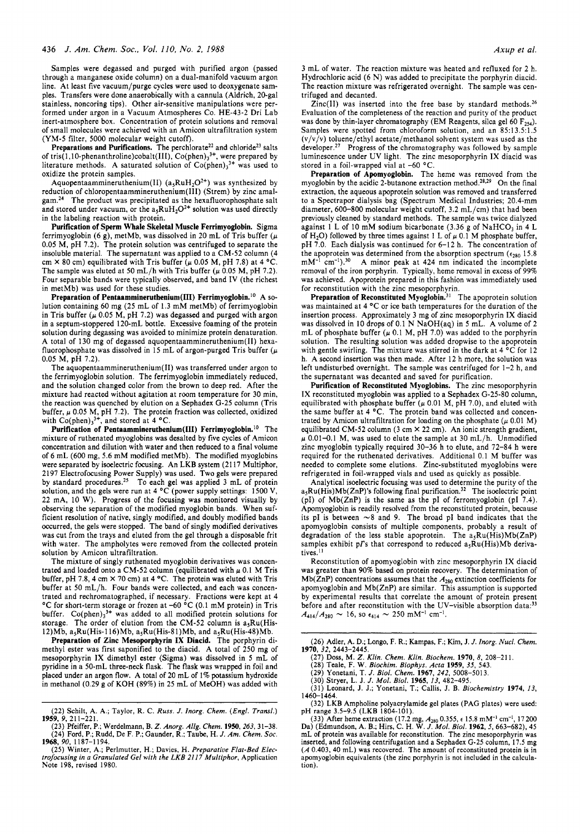Samples were degassed and purged with purified argon (passed through a manganese oxide column) on a dual-manifold vacuum argon line. At least five vacuum/purge cycles were used to deoxygenate samples. Transfers were done anaerobically with a cannula (Aldrich, 20-gal stainless, noncoring tips). Other air-sensitive manipulations were performed under argon in a Vacuum Atmospheres Co. HE-43-2 Dri Lab inert-atmosphere box. Concentration of protein solutions and removal of small molecules were achieved with an Amicon ultrafiltration system (YM-5 filter, 5000 molecular weight cutoff).

Preparations and Purifications. The perchlorate<sup>22</sup> and chloride<sup>23</sup> salts of tris( $1,10$ -phenanthroline)cobalt(III),  $Co(phen)_3^{3+}$ , were prepared by literature methods. A saturated solution of  $Co(phen)<sub>3</sub><sup>3+</sup>$  was used to oxidize the protein samples.

Aquopentaammineruthenium(II)  $(a_5RuH_2O^{2+})$  was synthesized by reduction of **chloropentaammineruthenium(II1)** (Strem) by zinc amalgam.24 The product was precipitated as the hexafluorophosphate salt and stored under vacuum, or the  $a_5RuH_2O^{2+}$  solution was used directly in the labeling reaction with protein.

**Purification of Sperm Whale Skeletal Muscle Ferrimyoglobin.** Sigma ferrimyoglobin *(6* g), metMb, was dissolved in 20 mL of Tris buffer *(p*  0.05 M, pH 7.2). The protein solution was centrifuged to separate the insoluble material. The supernatant was applied to a CM-52 column (4 cm  $\times$  80 cm) equilibrated with Tris buffer ( $\mu$  0.05 M, pH 7.8) at 4 °C. The sample was eluted at 50 mL/h with Tris buffer  $(\mu$  0.05 M, pH 7.2). Four separable bands were typically observed, and band IV (the richest in metMb) was used for these studies.

Preparation of Pentaammineruthenium(III) Ferrimyoglobin.<sup>10</sup> A solution containing 60 mg (25 mL of 1.3 mM metMb) of ferrimyoglobin in Tris buffer  $(\mu 0.05 \text{ M}, \text{pH} 7.2)$  was degassed and purged with argon in a septum-stoppered 120-mL bottle. Excessive foaming of the protein solution during degassing was avoided to minimize protein denaturation. A total of 130 mg of degassed aquopentaammineruthenium(I1) hexafluorophosphate was dissolved in 15 mL of argon-purged Tris buffer *(p*  0.05 M, pH 7.2).

The aquopentaammineruthenium(I1) was transferred under argon to the ferrimyoglobin solution. The ferrimyoglobin immediately reduced, and the solution changed color from the brown to deep red. After the mixture had reacted without agitation at room temperature for 30 min, the reaction was quenched by elution on a Sephadex G-25 column (Tris buffer,  $\mu$  0.05 M, pH 7.2). The protein fraction was collected, oxidized with  $Co(phen)<sub>3</sub><sup>3+</sup>$ , and stored at 4 °C.

**Purification of Pentaammineruthenium(II1) Ferrimyoglobin.Io** The mixture of ruthenated myoglobins was desalted by five cycles of Amicon concentration and dilution with water and then reduced to a final volume of 6 mL (600 mg, 5.6 mM modified metMb). The modified myoglobins were separated by isoelectric focusing. An LKB system (2117 Multiphor, 2197 Electrofocusing Power Supply) was used. Two gels were prepared by standard procedures.<sup>25</sup> To each gel was applied 3 mL of protein solution, and the gels were run at 4 °C (power supply settings: 1500 V, 22 mA, 10 W). Progress of the focusing was monitored visually by observing the separation of the modified myoglobin bands. When sufficient resolution of native, singly modified, and doubly modified bands occurred, the gels were stopped. The band of singly modified derivatives was cut from the trays and eluted from the gel through a disposable frit with water. The ampholytes were removed from the collected protein solution by Amicon ultrafiltration.

The mixture of singly ruthenated myoglobin derivatives was concentrated and loaded onto a CM-52 column (equilibrated with  $\mu$  0.1 M Tris buffer, pH 7.8, 4 cm  $\times$  70 cm) at 4 °C. The protein was eluted with Tris buffer at 50 mL/h. Four bands were collected, and each was concentrated and rechromatographed, if necessary. Fractions were kept at 4  $\rm ^oC$  for short-term storage or frozen at -60  $\rm ^oC$  (0.1 mM protein) in Tris buffer.  $Co(phen)_3^{3+}$  was added to all modified protein solutions for storage. The order of elution from the CM-52 column is  $a_5Ru(His-$ 12)Mb,  $a_5Ru(His-116)Mb$ ,  $a_5Ru(His-81)Mb$ , and  $a_5Ru(His-48)Mb$ .

**Preparation of Zinc Mesoporphyrin IX Diacid.** The porphyrin dimethyl ester was first saponified to the diacid. A total of 250 **mg** of mesoporphyrin IX dimethyl ester (Sigma) was dissolved in 5 mL of pyridine in a 50-mL three-neck flask. The flask was wrapped in foil and placed under an argon flow. A total of 20 mL of 1% potassium hydroxide in methanol (0.29 g of KOH (89%) in 25 mL of MeOH) was added with

3 mL of water. The reaction mixture was heated and refluxed for 2 h. Hydrochloric acid (6 N) was added to precipitate the porphyrin diacid. The reaction mixture was refrigerated overnight. The sample was centrifuged and decanted.

Zinc(II) was inserted into the free base by standard methods.<sup>26</sup> Evaluation of the completeness of the reaction and purity of the product was done by thin-layer chromatography (EM Reagents, silca gel 60  $F_{254}$ ). Samples were spotted from chloroform solution, and an 85:13.5:1.5  $(v/v/v)$  toluene/ethyl acetate/methanol solvent system was used as the developer.<sup>27</sup> Progress of the chromatography was followed by sample luminescence under UV light. The zinc mesoporphyrin IX diacid was stored in a foil-wrapped vial at  $-60$  °C.

**Preparation of Apomyoglobin.** The heme was removed from the myoglobin by the acidic 2-butanone extraction method.<sup>28,29</sup> On the final extraction, the aqueous apoprotein solution was removed and transferred to a Spectrapor dialysis bag (Spectrum Medical Industries; 20.4-mm diameter, 600-800 molecular weight cutoff, 3.2 mL/cm) that had been previously cleaned by standard methods. The sample was twice dialyzed against 1 L of 10 mM sodium bicarbonate (3.36 g of NaHCO, in 4 L of H<sub>2</sub>O) followed by three times against 1 L of  $\mu$  0.1 M phosphate buffer, pH 7.0. Each dialysis was continued for 6-12 h. The concentration of the apoprotein was determined from the absorption spectrum  $(\epsilon_{280} 15.8 \text{ mM}^{-1} \text{ cm}^{-1})$ .<sup>30</sup> A minor peak at 424 nm indicated the incomplete A minor peak at 424 nm indicated the incomplete removal of the iron porphyrin. Typically, heme removal in excess of 99% was achieved. Apoprotein prepared in this fashion was immediately used for reconstitution with the zinc mesoporphyrin.

**Preparation of Reconstituted Myoglobin.<sup>31</sup>** The apoprotein solution was maintained at 4 °C or ice bath temperatures for the duration of the insertion process. Approximately 3 mg of zinc mesoporphyrin **IX** diacid was dissolved in IO drops of 0.1 **N** NaOH(aq) in *5* mL. A volume of 2 mL of phosphate buffer  $(\mu 0.1 M, pH 7.0)$  was added to the porphyrin solution. The resulting solution was added dropwise to the apoprotein with gentle swirling. The mixture was stirred in the dark at  $4\,^{\circ}\text{C}$  for 12 h. A second insertion was then made. After 12 h more, the solution was left undisturbed overnight. The sample was centrifuged for 1-2 h, and the supernatant was decanted and saved for purification.

**Purification of Reconstituted Myoglobins.** The zinc mesoporphyrin IX reconstituted myoglobin was applied to a Sephadex G-25-80 column, equilibrated with phosphate buffer  $(\mu 0.01 \text{ M}, \text{pH} 7.0)$ , and eluted with the same buffer at 4 °C. The protein band was collected and concentrated by Amicon ultrafiltration for loading on the phosphate  $(\mu 0.01 M)$ equilibrated CM-52 **column** (3 cm **X** 22 cm). An ionic strength gradient,  $\mu$  0.01-0.1 M, was used to elute the sample at 30 mL/h. Unmodified zinc myoglobin typically required 30-36 h to elute, and 72-84 h were required for the ruthenated derivatives. Additional 0.1 M buffer was needed to complete some elutions. Zinc-substituted myoglobins were refrigerated in foil-wrapped vials and used as quickly as possible.

Analytical isoelectric focusing was used to determine the purity of the  $a_5Ru(His)Mb(ZnP)'s$  following final purification.<sup>32</sup> The isoelectric point (pI) of  $Mb(ZnP)$  is the same as the pI of ferromyoglobin (pI 7.4). Apomyoglobin is readily resolved from the reconstituted protein, because its pI is between  $\sim$ 8 and 9. The broad pI band indicates that the apomyoglobin consists of multiple components, probably a result of degradation of the less stable apoprotein. The a,Ru(His)Mb(ZnP) samples exhibit p $\Gamma$ s that correspond to reduced a<sub>5</sub>Ru(His)Mb derivatives.<sup>11</sup>

Reconstitution of apomyoglobin with zinc mesoporphyrin **IX** diacid was greater than 90% based on protein recovery. The determination of Mb(ZnP) concentrations assumes that the  $A_{280}$  extinction coefficients for apomyoglobin and Mb(ZnP) are similar. This assumption is supported by experimental results that correlate the amount of protein present before and after reconstitution with the UV-visible absorption data:<sup>33</sup><br> $A_{414}/A_{280} \sim 16$ , so  $\epsilon_{414} \sim 250 \text{ mM}^{-1} \text{ cm}^{-1}$ .

(26) Adler, A. D.; Longo, F. R.; Kampas, F.; Kim, **J.** *J. Inorg. Nucl. Chem.*  1970. **32.** 2443-2445.

- 
- 

(27) Doss, M. Z. Klin. Chem. Klin. Biochem. 1970, 8, 208–211.<br>
(28) Teale, F. W. Biochim. Biophys. Acta 1959, 35, 543.<br>
(29) Yonetani, T. J. Biol. Chem. 1967, 242, 5008–5013.<br>
(30) Stryer, L. J. J. Mol. Biol. 1965, 13, 48

1460-1464.

(32) LKB Ampholine polyacrylamide **gel** plates (PAG plates) were **used:**  pH range 3.5-9.5 (LKB 1804-101).

(33) After heme extraction (17.2 mg, *A280* 0.355, **c** 15.8 mM-' cm-l, 17 200 Da) (Edmundson, A. B.; Hirs, C. H. W. *J. Mol. Biol.* 1962,5,663-682), 45 mL of protein was available for reconstitution. The zinc mesoporphyrin was inserted, and following centrifugation and a Sephadex G-25 column, 17.5 **mg**  *(A* 0.403, 40 mL) was recovered. The amount of reconstituted protein is in apomyoglobin equivalents (the zinc porphyrin is not included in the calculation).

<sup>(22)</sup> Schilt, A. A,; Taylor, R. C. *Russ. J. Inorg. Chem. (Engl. Transl.)*  1959, 9, 211-221.

<sup>(23)</sup> Pfeiffer, P.; Werdelmann, B. *2. Anorg. Allg. Chem.* 1950, *263,* 31-38. (24) Ford, P.; Rudd, De F P.; Gaunder, R.; Taube, H. *J. Am. Chem. Soc.*  1968, *90,* 1187-1 194.

<sup>(25)</sup> Winter, A.; Perlmutter, H.; Davies, H. *Preparatiue Flat-Bed Elec-trofocusing in a Granulated Gel with the LKB 211* **7** *Multiphor,* Application Note 198, revised 1980.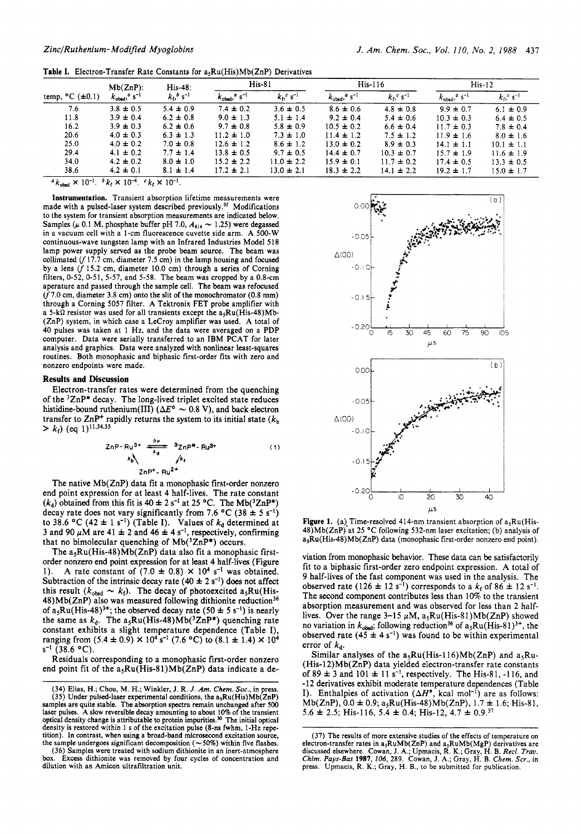|  |  | <b>Table I.</b> Electron-Transfer Rate Constants for $a_5Ru(His)Mb(ZnP)$ Derivatives |  |
|--|--|--------------------------------------------------------------------------------------|--|
|--|--|--------------------------------------------------------------------------------------|--|

| temp, $^{\circ}$ C ( $\pm$ 0.1) | $Mb(ZnP)$ :<br>$k_{\text{obsd}}$ , $a \text{ s}^{-1}$ | $His-48:$<br>$k_0^b s^{-1}$ | $His-81$                            |                                    | $His-116$                           |                                    | $His-12$                                 |                               |
|---------------------------------|-------------------------------------------------------|-----------------------------|-------------------------------------|------------------------------------|-------------------------------------|------------------------------------|------------------------------------------|-------------------------------|
|                                 |                                                       |                             | $k_{\text{obsd}}$ , s <sup>-1</sup> | $k_0$ <sup>c</sup> s <sup>-1</sup> | $k_{\text{obsd}}$ , s <sup>-1</sup> | $k_0$ <sup>c</sup> s <sup>-1</sup> | $k_{\text{obsd}}$ , $^a$ s <sup>-1</sup> | $k_{\rm f}$ , s <sup>-1</sup> |
| 7.6                             | $3.8 \pm 0.5$                                         | $5.4 \pm 0.9$               | $7.4 \pm 0.2$                       | $3.6 \pm 0.5$                      | $8.6 \pm 0.6$                       | $4.8 \pm 0.8$                      | $9.9 \pm 0.7$                            | $6.1 \pm 0.9$                 |
| 11.8                            | $3.9 \pm 0.4$                                         | $6.2 \pm 0.8$               | $9.0 \pm 1.3$                       | $5.1 \pm 1.4$                      | $9.2 \pm 0.4$                       | $5.4 \pm 0.6$                      | $10.3 \pm 0.3$                           | $6.4 \pm 0.5$                 |
| 16.2                            | $3.9 \pm 0.3$                                         | $6.2 \pm 0.6$               | $9.7 \pm 0.8$                       | $5.8 \pm 0.9$                      | $10.5 \pm 0.2$                      | $6.6 \pm 0.4$                      | $11.7 \pm 0.3$                           | $7.8 \pm 0.4$                 |
| 20.6                            | $4.0 \pm 0.3$                                         | $6.3 \pm 1.3$               | $11.2 \pm 1.0$                      | $7.3 \pm 1.0$                      | $11.4 \pm 1.2$                      | $7.5 \pm 1.2$                      | $11.9 \pm 1.6$                           | $8.0 \pm 1.6$                 |
| 25.0                            | $4.0 \pm 0.2$                                         | $7.0 \pm 0.8$               | $12.6 \pm 1.2$                      | $8.6 \pm 1.2$                      | $13.0 \pm 0.2$                      | $8.9 \pm 0.3$                      | $14.1 \pm 1.1$                           | $10.1 \pm 1.1$                |
| 29.4                            | $4.1 \pm 0.2$                                         | $7.7 \pm 1.4$               | $13.8 \pm 0.5$                      | $9.7 \pm 0.5$                      | $14.4 \pm 0.7$                      | $10.3 \pm 0.7$                     | $15.7 \pm 1.9$                           | $11.6 \pm 1.9$                |
| 34.0                            | $4.2 \pm 0.2$                                         | $8.0 \pm 1.0$               | $15.2 \pm 2.2$                      | $11.0 \pm 2.2$                     | $15.9 \pm 0.1$                      | $11.7 \pm 0.2$                     | $17.4 \pm 0.5$                           | $13.3 \pm 0.5$                |
| 38.6                            | $4.2 \pm 0.1$                                         | $8.1 \pm 1.4$               | $17.2 \pm 2.1$                      | $13.0 \pm 2.1$                     | $18.3 \pm 2.2$                      | $14.1 \pm 2.2$                     | $19.2 \pm 1.7$                           | $15.0 \pm 1.7$                |

 $\frac{a}{k_{\text{obsd}}} \times 10^{-1}$ .  $b k_f \times 10^{-4}$ .  $c k_f \times 10^{-1}$ .

**Instrumentation.** Transient absorption lifetime measurements were made with a pulsed-laser system described previously.<sup>9f</sup> Modifications to the system for transient absorption measurements are indicated below. Samples ( $\mu$  0.1 M, phosphate buffer pH 7.0,  $A_{414} \sim 1.25$ ) were degassed in a vacuum cell with a 1-cm fluorescence cuvette side arm. A 500-W continuous-wave tungsten lamp with an Infrared Industries Model 518 lamp power supply served as the probe beam source. The beam was collimated ( $f$  17.7 cm, diameter 7.5 cm) in the lamp housing and focused by a lens  $(f 15.2 \text{ cm}, \text{ diameter } 10.0 \text{ cm})$  through a series of Corning filters, 0-52, 0-51, 5-57, and 5-58. The beam was cropped by a 0.8-cm aperature and passed through the sample cell. The beam was refocused (f7.0 cm, diameter **3.8** cm) onto the slit of the monochromator (0.8 mm) through a Corning 5057 filter. A Tektronix FET probe amplifier with a 5-k $\Omega$  resistor was used for all transients except the a<sub>5</sub>Ru(His-48)Mb-(ZnP) system, in which case a LeCroy amplifier was used. A total of 40 pulses was taken at 1 Hz, and the data were averaged on a PDP computer. Data were serially transferred to an IBM PCAT for later analysis and graphics. Data were analyzed with nonlinear least-squares routines. Both monophasic and biphasic first-order fits with zero and nonzero endpoints were made.

### **Results and Discussion**

Electron-transfer rates were determined from the quenching of the <sup>3</sup>ZnP\* decay. The long-lived triplet excited state reduces histidine-bound ruthenium(III)  $(\Delta E^{\circ} \sim 0.8 \text{ V})$ , and back electron transfer to  $\text{ZnP}^+$  rapidly returns the system to its initial state  $(k_b)$  $> k_f$ ) (eq 1)<sup>11,34,35</sup>

$$
ZnP-Ru^{3+} \frac{hv}{k_d} = 3ZnP^{*} - Ru^{3+}
$$
  
\n
$$
k \frac{1}{2}mv^{2} - Ru^{2+}
$$
 (1)

The native Mb(ZnP) data fit a monophasic first-order nonzero end point expression for at least 4 half-lives. The rate constant  $(k_d)$  obtained from this fit is  $40 \pm 2$  s<sup>-1</sup> at 25 °C. The Mb(<sup>3</sup>ZnP\*) decay rate does not vary significantly from 7.6 °C  $(38 \pm 5 \text{ s}^{-1})$ to 38.6 °C  $(42 \pm 1 \text{ s}^{-1})$  (Table I). Values of  $k_d$  determined at 3 and 90  $\mu$ M are 41  $\pm$  2 and 46  $\pm$  4 s<sup>-1</sup>, respectively, confirming that no bimolecular quenching of  $Mb(^{3}ZnP*)$  occurs.

The  $a_5Ru(His-48)Mb(ZnP)$  data also fit a monophasic firstorder nonzero end point expression for at least 4 half-lives (Figure 1). A rate constant of  $(7.0 \pm 0.8) \times 10^4$  s<sup>-1</sup> was obtained. Subtraction of the intrinsic decay rate  $(40 \pm 2 \text{ s}^{-1})$  does not affect this result  $(k_{\text{obsd}} \sim k_f)$ . The decay of photoexcited a<sub>s</sub>Ru(His- $48$ )Mb(ZnP) also was measured following dithionite reduction<sup>36</sup> of  $a_5Ru(His-48)^{3+}$ ; the observed decay rate (50  $\pm$  5 s<sup>-1</sup>) is nearly the same as  $k_d$ . The a<sub>s</sub>Ru(His-48)Mb(<sup>3</sup>ZnP<sup>\*</sup>) quenching rate constant exhibits a slight temperature dependence (Table **I),**  ranging from  $(5.4 \pm 0.9) \times 10^4$  s<sup>-1</sup>  $(7.6 °C)$  to  $(8.1 \pm 1.4) \times 10^4$ **s-I** (38.6 *"C).* 

Residuals corresponding to a monophasic first-order nonzero end point fit of the  $a_5Ru(His-81)Mb(ZnP)$  data indicate a de-

(36) Samples were treated with sodium dithionite in an inert-atmosphere box. Excess dithionite was removed by four cycles of concentration and dilution with an Amicon ultrafiltration unit.



**Figure 1.** (a) Time-resolved 414-nm transient absorption of  $a_5Ru(His 48$ )Mb(ZnP) at 25 °C following 532-nm laser excitation; (b) analysis of a5Ru(His-48)Mb(ZnP) data (monophasic first-order nonzero end point).

viation from monophasic behavior. These data **can** be satisfactorily fit to a biphasic first-order zero endpoint expression. **A** total of 9 half-lives of the fast component was used in the analysis. The observed rate  $(126 \pm 12 \text{ s}^{-1})$  corresponds to a  $k_f$  of 86  $\pm$  12 s<sup>-1</sup>. The second component contributes less than 10% to the transient absorption measurement and was observed for less than 2 halflives. Over the range  $3-15 \mu M$ ,  $a_5Ru(His-81)Mb(ZnP)$  showed no variation in  $k_{\text{obsd}}$ ; following reduction<sup>36</sup> of  $a_5Ru(His-81)^{3+}$ , the observed rate  $(45 \pm 4 \text{ s}^{-1})$  was found to be within experimental error of  $k_d$ .

Similar analyses of the  $a_5Ru(His-116)Mb(ZnP)$  and  $a_5Ru$ -(His-12)Mb(ZnP) data yielded electron-transfer rate constants of  $89 \pm 3$  and  $101 \pm 11$  s<sup>-1</sup>, respectively. The His-81, -116, and -1 **2** derivatives exhibit moderate temperature dependences (Table **I).** Enthalpies of activation  $(\Delta H^*$ , kcal mol<sup>-1</sup>) are as follows:  $Mb(ZnP), 0.0 ± 0.9; a<sub>5</sub>Ru(His-48)Mb(ZnP), 1.7 ± 1.6; His-81,$ 5.6  $\pm$  2.5; His-116, 5.4  $\pm$  0.4; His-12, 4.7  $\pm$  0.9.<sup>37</sup>

<sup>(34)</sup> Elias, **H.;** Chou, M. H.; Winkler, J. R. *J. Am. Chem.* **Soc.,** in press. (35) Under pulsed-laser experimental conditions, the  $a_5Ru(His)Mb(ZnP)$ samples are quite stable. The absorption spectra remain unchanged after 500 laser pulses. A slow reversible decay amounting to about 10% of the transient optical density change is attributable to protein impurities.<sup>30</sup> The initial optical density is restored within 1 **s** of the excitation pulse **(8-11s** fwhm, 1-Hz repeition). In contrast, when using a broad-band microsecond excitation source, the sample undergoes significant decomposition  $(\sim 50\%)$  within five flashes.

<sup>(37)</sup> The results of more extensive studies of the effects of temperature on electron-transfer rates in a<sub>3</sub>RuMb(ZnP) and a<sub>3</sub>RuMb(MgP) derivatives are discussed elsewhere. Cowan, J. A.; Upmacis, R. K.; Gray, H. B. *Recl.* press. Upmacis, R. K.; Gray, H. B., to be submitted for publication.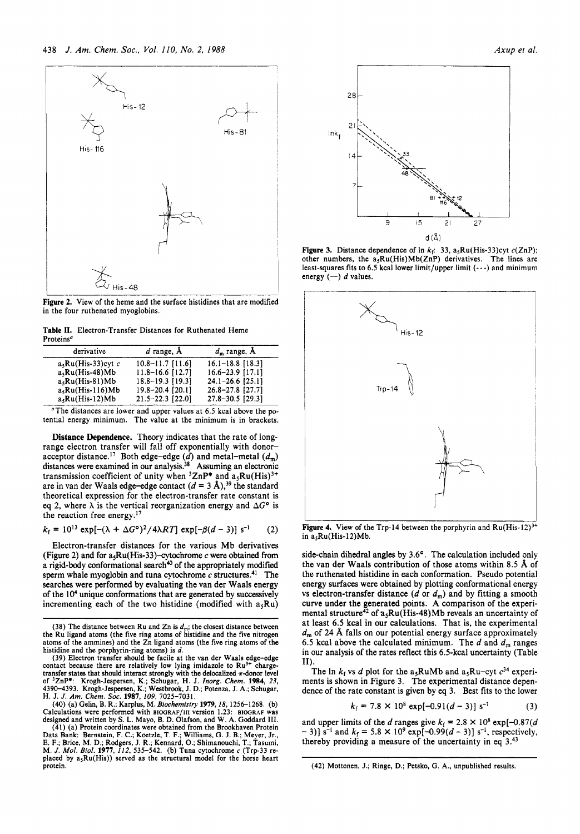

**Figure 2.** View of the heme and the surface histidines that are modified in the four ruthenated myoglobins.

**Table 11.** Electron-Transfer Distances for Ruthenated Heme Proteins"

| derivative           | $d$ range, $A$       | $d_m$ range, $\AA$   |
|----------------------|----------------------|----------------------|
| $a_5Ru(His-33)cyt$ c | $10.8 - 11.7$ [11.6] | $16.1 - 18.8$ [18.3] |
| $a_5Ru(His-48)Mb$    | $11.8 - 16.6$ [12.7] | $16.6 - 23.9$ [17.1] |
| $a, Ru(His-81)Mb$    | $18.8 - 19.3$ [19.3] | $24.1 - 26.6$ [25.1] |
| $a5Ru(His-116)Mb$    | 19.8-20.4 [20.1]     | 26.8-27.8 [27.7]     |
| $a_5Ru(His-12)Mb$    | $21.5 - 22.3$ [22.0] | 27.8-30.5 [29.3]     |

"The distances are lower and upper values at 6.5 kcal above the potential energy minimum. The value at the minimum is in brackets.

Distance Dependence. Theory indicates that the rate of longrange electron transfer will fall off exponentially with donoracceptor distance.<sup>17</sup> Both edge-edge *(d)* and metal-metal  $(d_m)$ distances were examined in our analysis.<sup>38</sup> Assuming an electronic transmission coefficient of unity when  ${}^{3}ZnP^{*}$  and  $a_{5}Ru(His)^{3+}$ are in van der Waals edge-edge contact  $(d = 3 \text{ Å})$ ,<sup>39</sup> the standard theoretical expression for the electron-transfer rate constant is eq 2, where  $\lambda$  is the vertical reorganization energy and  $\Delta G^{\circ}$  is the reaction free energy.<sup>17</sup>

$$
k_f = 10^{13} \exp[-(\lambda + \Delta G^{\circ})^2 / 4\lambda RT] \exp[-\beta(d-3)] s^{-1}
$$
 (2)

Electron-transfer distances for the various Mb derivatives (Figure **2)** and for asRu(His-33)-cytochrome c were obtained from a rigid-body conformational search<sup>40</sup> of the appropriately modified sperm whale myoglobin and tuna cytochrome  $c$  structures.<sup>41</sup> The searches were performed by evaluating the van der Waals energy of the **104** unique conformations that are generated by successively incrementing each of the two histidine (modified with  $a_5Ru$ )

**(40)** (a) Gelin, B. R.; Karplus, M. *Biochemistry* 1979,18,1256-1268. (b)



**Figure 3.** Distance dependence of  $\ln k_f$ : 33, a<sub>5</sub>Ru(His-33)cyt c(ZnP); other numbers, the  $a_5Ru(His)Mb(ZnP)$  derivatives. The lines are least-squares fits to 6.5 kcal lower limit/upper limit  $(-)$  and minimum energy  $(-)$  d values.



Figure 4. View of the Trp-14 between the porphyrin and Ru(His-12)<sup>3+</sup> in  $a_5Ru(His-12)Mb$ .

side-chain dihedral angles by 3.6°. The calculation included only the van der Waals contribution of those atoms within 8.5 **A** of the ruthenated histidine in each conformation. Pseudo potential energy surfaces were obtained by plotting conformational energy vs electron-transfer distance  $(d \text{ or } d_m)$  and by fitting a smooth curve under the generated points. **A** comparison of the experimental structure<sup> $\bar{4}$ 2 of a<sub>s</sub>Ru(His-48)Mb reveals an uncertainty of</sup> at least 6.5 kcal in **our** calculations. That is, the experimental *d,,,* of 24 **A** falls **on** our potential energy surface approximately 6.5 kcal above the calculated minimum. The  $d$  and  $d<sub>m</sub>$  ranges in our analysis of the rates reflect this 6.5-kcal uncertainty (Table **11).** 

The  $\ln k_f$  vs *d* plot for the a<sub>5</sub>RuMb and a<sub>5</sub>Ru-cyt  $c^{34}$  experiments is shown in Figure 3. The experimental distance dependence of the rate constant is given by *eq* 3. Best fits to the lower

$$
k_{\rm f} = 7.8 \times 10^8 \exp[-0.91(d-3)] \, \text{s}^{-1} \tag{3}
$$

and upper limits of the *d* ranges give  $k_f = 2.8 \times 10^8 \exp[-0.87(d$  $(-3)$ ]  $\bar{s}^{-1}$  and  $k_f = 5.8 \times 10^9 \exp[-0.99(d-3)] \text{ s}^{-1}$ , respectively, thereby providing a measure of the uncertainty in eq  $3.^{43}$ 

(42) Mottonen, J.; Ringe, D.; Petsko, G. **A.,** unpublished results.

<sup>(38)</sup> The distance between Ru and Zn is  $d_m$ ; the closest distance between the Ru ligand atoms (the five ring atoms of histidine and the five nitrogen atoms of the ammines) and the Zn ligand atoms (the five **ring** atoms of the

histidine and the porphyrin-ring atoms) is d.<br>
(39) Electron transfer should be facile at the van der Waals edge-edge<br>
contact because there are relatively low lying imidazole to  $Ru^{3+}$  chargetransfer states that should interact strongly with the delocalized r-donor level of <sup>3</sup>ZnP\*: Krogh-Jespersen, K.; Schugar, H. J. *Inorg. Chem.* 1984, 23, 4390–4393. Krogh-Jespersen, K.; Westbrook, J. D.; Potenza, J. A.; Schugar, H. J. J. Am. Chem. Soc. 1987, 109, 7025–7031.

Calculations were performed with BIOGRAF/III version 1.23: BIOGRAF was<br>designed and written by S. L. Mayo, B. D. Olafson, and W. A. Goddard III.<br>(41) (a) Protein coordinates were obtained from the Brookhaven Protein<br>Data B placed by  $a_5Ru(His)$  served as the structural model for the horse heart protein.